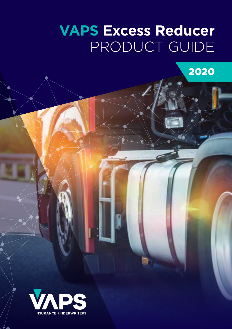# **VAPS Excess Reducer**  PRODUCT GUIDE

2020

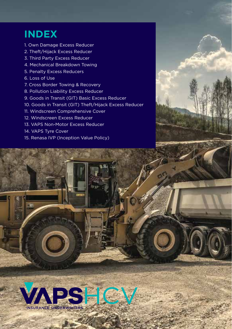# **INDEX**

- 1. Own Damage Excess Reducer
- 2. Theft/Hijack Excess Reducer
- 3. Third Party Excess Reducer
- 4. Mechanical Breakdown Towing
- 5. Penalty Excess Reducers
- 6. Loss of Use
- 7. Cross Border Towing & Recovery
- 8. Pollution Liability Excess Reducer
- 9. Goods in Transit (GIT) Basic Excess Reducer
- 10. Goods in Transit (GIT) Theft/Hijack Excess Reducer
- 11. Windscreen Comprehensive Cover
- 12. Windscreen Excess Reducer
- 13. VAPS Non-Motor Excess Reducer
- 14. VAPS Tyre Cover
- 15. Renasa IVP (Inception Value Policy)



**2 VALUE AND INSURANCE PRODUCT GUIDE 2020**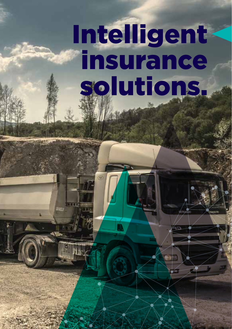# Intelligent insurance solutions.

la 1

ū

 $\mathcal{N}$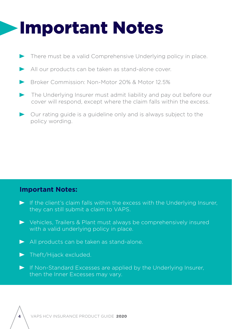# Important Notes

- There must be a valid Comprehensive Underlying policy in place.
- All our products can be taken as stand-alone cover.
- Broker Commission: Non-Motor 20% & Motor 12.5%
- The Underlying Insurer must admit liability and pay out before our cover will respond, except where the claim falls within the excess.
- Our rating guide is a guideline only and is always subject to the policy wording.

# **Important Notes:**

- If the client's claim falls within the excess with the Underlying Insurer, they can still submit a claim to VAPS.
- Vehicles, Trailers & Plant must always be comprehensively insured with a valid underlying policy in place.
- All products can be taken as stand-alone.
- $\blacktriangleright$  Theft/Hijack excluded.
- $\blacktriangleright$  If Non-Standard Excesses are applied by the Underlying Insurer, then the Inner Excesses may vary.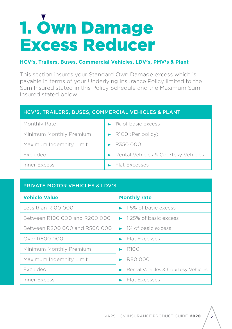# 1. Own Damage Excess Reducer

### **HCV's, Trailers, Buses, Commercial Vehicles, LDV's, PMV's & Plant**

This section insures your Standard Own Damage excess which is payable in terms of your Underlying Insurance Policy limited to the Sum Insured stated in this Policy Schedule and the Maximum Sum Insured stated below.

### HCV'S, TRAILERS, BUSES, COMMERCIAL VEHICLES & PLANT

| Monthly Rate            | $\blacktriangleright$ 1% of basic excess |
|-------------------------|------------------------------------------|
| Minimum Monthly Premium | $\blacktriangleright$ R100 (Per policy)  |
| Maximum Indemnity Limit | $\blacktriangleright$ R350000            |
| Excluded                | Rental Vehicles & Courtesy Vehicles      |
| Inner Excess            | $\blacktriangleright$ Flat Excesses      |

| <b>Vehicle Value</b>          | <b>Monthly rate</b>                         |
|-------------------------------|---------------------------------------------|
| Less than R100 000            | $\blacktriangleright$ 1.5% of basic excess  |
| Between R100 000 and R200 000 | $\blacktriangleright$ 1.25% of basic excess |
| Between R200 000 and R500 000 | $\blacktriangleright$ 1% of basic excess    |
| Over R500 000                 | $\blacktriangleright$ Flat Excesses         |
| Minimum Monthly Premium       | $\blacktriangleright$ R100                  |
| Maximum Indemnity Limit       | ▶ R80 000                                   |
| Excluded                      | Rental Vehicles & Courtesy Vehicles         |
| Inner Excess                  | $\blacktriangleright$ Flat Excesses         |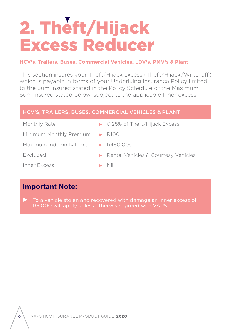# 2. Theft/Hijack Excess Reducer

#### **HCV's, Trailers, Buses, Commercial Vehicles, LDV's, PMV's & Plant**

This section insures your Theft/Hijack excess (Theft/Hijack/Write-off) which is payable in terms of your Underlying Insurance Policy limited to the Sum Insured stated in the Policy Schedule or the Maximum Sum Insured stated below, subject to the applicable Inner excess.

### HCV'S, TRAILERS, BUSES, COMMERCIAL VEHICLES & PLANT

| Monthly Rate            | ▶ 0.25% of Theft/Hijack Excess      |
|-------------------------|-------------------------------------|
| Minimum Monthly Premium | $\blacktriangleright$ R100          |
| Maximum Indemnity Limit | R450 000                            |
| Excluded                | Rental Vehicles & Courtesy Vehicles |
| Inner Excess            | Nil                                 |

# **Important Note:**

To a vehicle stolen and recovered with damage an inner excess of R5 000 will apply unless otherwise agreed with VAPS.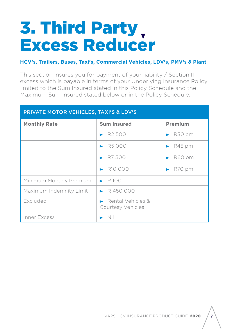# 3. Third Party Excess Reducer

### **HCV's, Trailers, Buses, Taxi's, Commercial Vehicles, LDV's, PMV's & Plant**

This section insures you for payment of your liability / Section II excess which is payable in terms of your Underlying Insurance Policy limited to the Sum Insured stated in this Policy Schedule and the Maximum Sum Insured stated below or in the Policy Schedule.

| <b>PRIVATE MOTOR VEHICLES, TAXI'S &amp; LDV'S</b> |                                                              |                              |
|---------------------------------------------------|--------------------------------------------------------------|------------------------------|
| <b>Monthly Rate</b>                               | <b>Sum Insured</b>                                           | Premium                      |
|                                                   | $\triangleright$ R2500                                       | $\blacktriangleright$ R30 pm |
|                                                   | $\triangleright$ R5000                                       | $\blacktriangleright$ R45 pm |
|                                                   | $\blacktriangleright$ R7500                                  | R60 pm                       |
|                                                   | $\blacktriangleright$ R10 000                                | R70 pm                       |
| Minimum Monthly Premium                           | $\blacktriangleright$ R100                                   |                              |
| Maximum Indemnity Limit                           | $\triangleright$ R 450 000                                   |                              |
| Excluded                                          | $\blacktriangleright$ Rental Vehicles &<br>Courtesy Vehicles |                              |
| Inner Excess                                      | Nil                                                          |                              |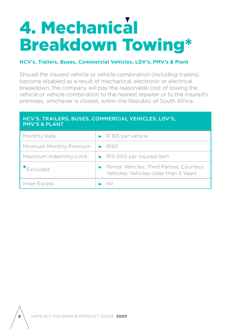# 4. Mechanical Breakdown Towing\*

### **HCV's, Trailers, Buses, Commercial Vehicles, LDV's, PMV's & Plant**

Should the insured vehicle or vehicle combination (including trailers) become disabled as a result of mechanical, electronic or electrical breakdown, the company will pay the reasonable cost of towing the vehicle or vehicle combination to the nearest repairer or to the insured's premises, whichever is closest, within the Republic of South Africa.

#### HCV'S, TRAILERS, BUSES, COMMERCIAL VEHICLES, LDV'S, PMV'S & PLANT

| Monthly Rate            | $\blacktriangleright$ R 165 per vehicle                                           |
|-------------------------|-----------------------------------------------------------------------------------|
| Minimum Monthly Premium | R165<br>ь                                                                         |
| Maximum Indemnity Limit | $\triangleright$ R15 000 per insured item                                         |
| $E_{\text{Xcluded}}$    | Rental Vehicles; Third Parties; Courtesy<br>Vehicles; Vehicles older than 5 Years |
| Inner Excess            | Nil                                                                               |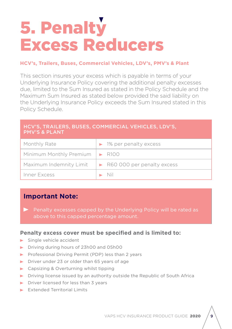# 5. Penalty Excess Reducers

### **HCV's, Trailers, Buses, Commercial Vehicles, LDV's, PMV's & Plant**

This section insures your excess which is payable in terms of your Underlying Insurance Policy covering the additional penalty excesses due, limited to the Sum Insured as stated in the Policy Schedule and the Maximum Sum Insured as stated below provided the said liability on the Underlying Insurance Policy exceeds the Sum Insured stated in this Policy Schedule.

#### HCV'S, TRAILERS, BUSES, COMMERCIAL VEHICLES, LDV'S, PMV'S & PLANT

| Monthly Rate            | $\blacktriangleright$ 1% per penalty excess |
|-------------------------|---------------------------------------------|
| Minimum Monthly Premium | $\blacktriangleright$ R100                  |
| Maximum Indemnity Limit | $\triangleright$ R60 000 per penalty excess |
| Inner Excess            | – Nil                                       |

# **Important Note:**

Penalty excesses capped by the Underlying Policy will be rated as above to this capped percentage amount.

### **Penalty excess cover must be specified and is limited to:**

- Single vehicle accident
- **Driving during hours of 23h00 and 05h00**
- Professional Driving Permit (PDP) less than 2 years
- ▶ Driver under 23 or older than 65 years of age
- ▶ Capsizing & Overturning whilst tipping
- Driving license issued by an authority outside the Republic of South Africa
- $\blacktriangleright$  Driver licensed for less than 3 years
- Extended Territorial Limits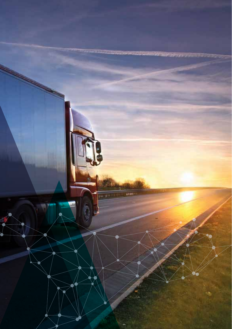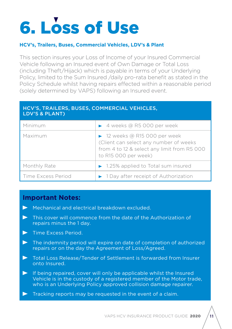# 6. Loss of Use

### **HCV's, Trailers, Buses, Commercial Vehicles, LDV's & Plant**

This section insures your Loss of Income of your Insured Commercial Vehicle following an Insured event of Own Damage or Total Loss (including Theft/Hijack) which is payable in terms of your Underlying Policy, limited to the Sum Insured /daily pro-rata benefit as stated in the Policy Schedule whilst having repairs effected within a reasonable period (solely determined by VAPS) following an Insured event.

#### HCV'S, TRAILERS, BUSES, COMMERCIAL VEHICLES, LDV'S & PLANT)

| Minimum            | $\rightarrow$ 4 weeks @ R5 000 per week                                                                                                                            |
|--------------------|--------------------------------------------------------------------------------------------------------------------------------------------------------------------|
| Maximum            | $\blacktriangleright$ 12 weeks @ R15 000 per week<br>(Client can select any number of weeks<br>from 4 to 12 & select any limit from R5 000<br>to R15 000 per week) |
| Monthly Rate       | $\blacktriangleright$ 1.25% applied to Total sum insured                                                                                                           |
| Time Excess Period | ▶ 1 Day after receipt of Authorization                                                                                                                             |

# **Important Notes:**

- Mechanical and electrical breakdown excluded.
- ▶ This cover will commence from the date of the Authorization of repairs minus the 1 day.
- Time Excess Period.  $\blacktriangleright$
- $\blacktriangleright$ The indemnity period will expire on date of completion of authorized repairs or on the day the Agreement of Loss/Agreed.
- $\blacktriangleright$ Total Loss Release/Tender of Settlement is forwarded from Insurer onto Insured.
- $\blacktriangleright$  If being repaired, cover will only be applicable whilst the Insured Vehicle is in the custody of a registered member of the Motor trade, who is an Underlying Policy approved collision damage repairer.
- $\blacktriangleright$  Tracking reports may be requested in the event of a claim.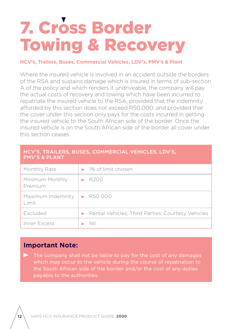# 7. Cross Border Towing & Recovery

#### **HCV's, Trailers, Buses, Commercial Vehicles, LDV's, PMV's & Plant**

Where the insured vehicle is involved in an accident outside the borders of the RSA and sustains damage which is insured in terms of sub-section A of the policy and which renders it undriveable, the company will pay the actual costs of recovery and towing which have been incurred to repatriate the insured vehicle to the RSA, provided that the indemnity afforded by this section does not exceed R50,000, and provided that the cover under this section only pays for the costs incurred in getting the insured vehicle to the South African side of the border. Once the insured vehicle is on the South African side of the border all cover under this section ceases.

#### HCV'S, TRAILERS, BUSES, COMMERCIAL VEHICLES, LDV'S, PMV'S & PLANT

| Monthly Rate               | $\blacktriangleright$ 1% of limit chosen          |
|----------------------------|---------------------------------------------------|
| Minimum Monthly<br>Premium | R200                                              |
| Maximum Indemnity<br>Limit | $\triangleright$ R50 000                          |
| Excluded                   | Rental Vehicles; Third Parties; Courtesy Vehicles |
| Inner Excess               | Nil                                               |

# **Important Note:**

The company shall not be liable to pay for the cost of any damages which may occur to the vehicle during the course of repatriation to the South African side of the border and/or the cost of any duties payable to the authorities.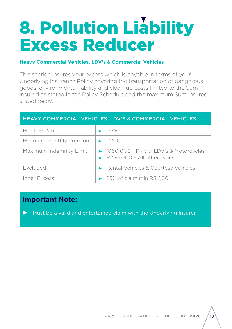# 8. Pollution Liability Excess Reducer

### **Heavy Commercial Vehicles, LDV's & Commercial Vehicles**

This section insures your excess which is payable in terms of your Underlying Insurance Policy covering the transportation of dangerous goods, environmental liability and clean-up costs limited to the Sum Insured as stated in the Policy Schedule and the maximum Sum Insured stated below.

### HEAVY COMMERCIAL VEHICLES, LDV'S & COMMERCIAL VEHICLES

| Monthly Rate            | 0.3%                                                                |
|-------------------------|---------------------------------------------------------------------|
| Minimum Monthly Premium | $\blacktriangleright$ R200                                          |
| Maximum Indemnity Limit | R150 000 - PMV's, LDV's & Motorcycles<br>R250 000 - All other types |
| Excluded                | Rental Vehicles & Courtesy Vehicles                                 |
| Inner Excess            | $\geq 25\%$ of claim min R5 000                                     |

# **Important Note:**

 $\blacktriangleright$  Must be a valid and entertained claim with the Underlying Insurer.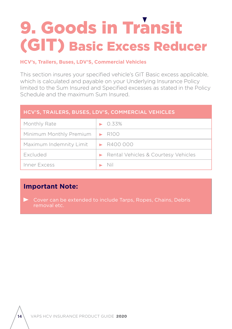# 9. Goods in Transit (GIT) Basic Excess Reducer

#### **HCV's, Trailers, Buses, LDV'S, Commercial Vehicles**

This section insures your specified vehicle's GIT Basic excess applicable, which is calculated and payable on your Underlying Insurance Policy limited to the Sum Insured and Specified excesses as stated in the Policy Schedule and the maximum Sum Insured.

| HCV'S, TRAILERS, BUSES, LDV'S, COMMERCIAL VEHICLES |                                     |  |
|----------------------------------------------------|-------------------------------------|--|
| Monthly Rate                                       | 0.33%                               |  |
| Minimum Monthly Premium                            | R100                                |  |
| Maximum Indemnity Limit                            | $\blacktriangleright$ R400000       |  |
| Excluded                                           | Rental Vehicles & Courtesy Vehicles |  |
| Inner Excess                                       | - Nil                               |  |

# **Important Note:**

Cover can be extended to include Tarps, Ropes, Chains, Debris removal etc.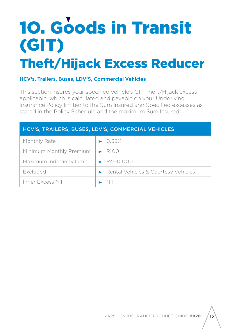# 10. Goods in Transit (GIT)

# Theft/Hijack Excess Reducer

# **HCV's, Trailers, Buses, LDV'S, Commercial Vehicles**

This section insures your specified vehicle's GIT Theft/Hijack excess applicable, which is calculated and payable on your Underlying Insurance Policy limited to the Sum Insured and Specified excesses as stated in the Policy Schedule and the maximum Sum Insured.

## HCV'S, TRAILERS, BUSES, LDV'S, COMMERCIAL VEHICLES

| Monthly Rate            | 0.33%                               |
|-------------------------|-------------------------------------|
| Minimum Monthly Premium | R100<br>ь                           |
| Maximum Indemnity Limit | $\blacktriangleright$ R400000       |
| Excluded                | Rental Vehicles & Courtesy Vehicles |
| Inner Excess Nil        | - Nil                               |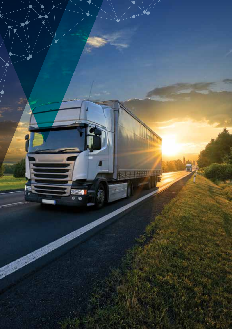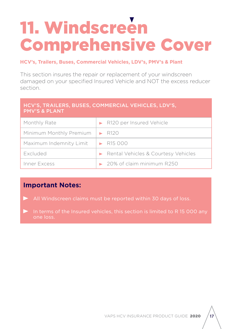# 11. Windscreen Comprehensive Cover

### **HCV's, Trailers, Buses, Commercial Vehicles, LDV's, PMV's & Plant**

This section insures the repair or replacement of your windscreen damaged on your specified Insured Vehicle and NOT the excess reducer section.

#### HCV'S, TRAILERS, BUSES, COMMERCIAL VEHICLES, LDV'S, PMV'S & PLANT

| Monthly Rate            | R120 per Insured Vehicle            |
|-------------------------|-------------------------------------|
| Minimum Monthly Premium | $\triangleright$ R120               |
| Maximum Indemnity Limit | $\triangleright$ R15 000            |
| Excluded                | Rental Vehicles & Courtesy Vehicles |
| Inner Excess            | $\geq 20\%$ of claim minimum R250   |

# **Important Notes:**

- All Windscreen claims must be reported within 30 days of loss.
- In terms of the Insured vehicles, this section is limited to R 15 000 any one loss.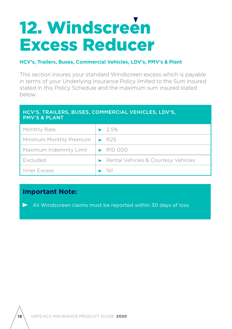# 12. Windscreen Excess Reducer

### **HCV's, Trailers, Buses, Commercial Vehicles, LDV's, PMV's & Plant**

This section insures your standard Windscreen excess which is payable in terms of your Underlying Insurance Policy limited to the Sum Insured stated in this Policy Schedule and the maximum sum insured stated below.

### HCV'S, TRAILERS, BUSES, COMMERCIAL VEHICLES, LDV'S, PMV'S & PLANT

| Monthly Rate            | - 2.5%                              |
|-------------------------|-------------------------------------|
| Minimum Monthly Premium | $\blacktriangleright$ R25           |
| Maximum Indemnity Limit | $\blacktriangleright$ R10 000       |
| Excluded                | Rental Vehicles & Courtesy Vehicles |
| Inner Excess            | - Nil                               |

# **Important Note:**

All Windscreen claims must be reported within 30 days of loss.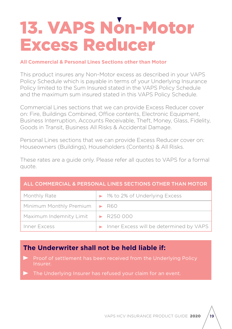# 13. VAPS Non-Motor Excess Reducer

### **All Commercial & Personal Lines Sections other than Motor**

This product insures any Non-Motor excess as described in your VAPS Policy Schedule which is payable in terms of your Underlying Insurance Policy limited to the Sum Insured stated in the VAPS Policy Schedule and the maximum sum insured stated in this VAPS Policy Schedule.

Commercial Lines sections that we can provide Excess Reducer cover on: Fire, Buildings Combined, Office contents, Electronic Equipment, Business Interruption, Accounts Receivable, Theft, Money, Glass, Fidelity, Goods in Transit, Business All Risks & Accidental Damage.

Personal Lines sections that we can provide Excess Reducer cover on: Houseowners (Buildings), Householders (Contents) & All Risks.

These rates are a guide only. Please refer all quotes to VAPS for a formal quote.

### ALL COMMERCIAL & PERSONAL LINES SECTIONS OTHER THAN MOTOR

| Monthly Rate            | ► 1% to 2% of Underlying Excess         |
|-------------------------|-----------------------------------------|
| Minimum Monthly Premium | $\blacktriangleright$ R60               |
| Maximum Indemnity Limit | $\triangleright$ R250 000               |
| Inner Excess            | Inner Excess will be determined by VAPS |

# **The Underwriter shall not be held liable if:**

- Proof of settlement has been received from the Underlying Policy Insurer.
- The Underlying Insurer has refused your claim for an event.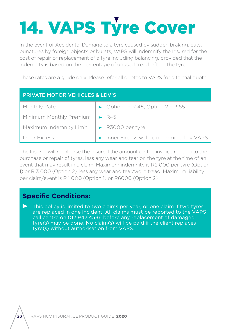# 14. VAPS Tyre Cover

In the event of Accidental Damage to a tyre caused by sudden braking, cuts, punctures by foreign objects or bursts, VAPS will indemnify the Insured for the cost of repair or replacement of a tyre including balancing, provided that the indemnity is based on the percentage of unused tread left on the tyre.

These rates are a guide only. Please refer all quotes to VAPS for a formal quote.

| <b>PRIVATE MOTOR VEHICLES &amp; LDV'S</b> |                                         |  |
|-------------------------------------------|-----------------------------------------|--|
| Monthly Rate                              | • Option 1 - R 45; Option 2 - R 65      |  |
| Minimum Monthly Premium                   | $\blacktriangleright$ R45               |  |
| Maximum Indemnity Limit                   | $\blacktriangleright$ R3000 per tyre    |  |
| Inner Excess                              | Inner Excess will be determined by VAPS |  |

The Insurer will reimburse the Insured the amount on the invoice relating to the purchase or repair of tyres, less any wear and tear on the tyre at the time of an event that may result in a claim. Maximum indemnity is R2 000 per tyre (Option 1) or R 3 000 (Option 2), less any wear and tear/worn tread. Maximum liability per claim/event is R4 000 (Option 1) or R6000 (Option 2).

# **Specific Conditions:**

 $\blacktriangleright$  This policy is limited to two claims per year, or one claim if two tyres are replaced in one incident. All claims must be reported to the VAPS call centre on 012 942 4536 before any replacement of damaged tyre(s) may be done. No claim(s) will be paid if the client replaces tyre(s) without authorisation from VAPS.

**20** VAPS HCV INSURANCE PRODUCT GUIDE 2020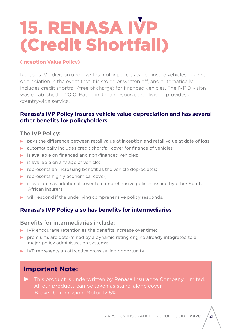# 15. RENASA IVP (Credit Shortfall)

### **(Inception Value Policy)**

Renasa's IVP division underwrites motor policies which insure vehicles against depreciation in the event that it is stolen or written off, and automatically includes credit shortfall (free of charge) for financed vehicles. The IVP Division was established in 2010. Based in Johannesburg, the division provides a countrywide service.

### **Renasa's IVP Policy insures vehicle value depreciation and has several other benefits for policyholders**

### The IVP Policy:

- $\triangleright$  pays the difference between retail value at inception and retail value at date of loss;
- **D** automatically includes credit shortfall cover for finance of vehicles:
- $\blacktriangleright$  is available on financed and non-financed vehicles;
- $\blacktriangleright$  is available on any age of vehicle;
- $\blacktriangleright$  represents an increasing benefit as the vehicle depreciates;
- $\blacktriangleright$  represents highly economical cover;
- $\triangleright$  is available as additional cover to comprehensive policies issued by other South African insurers;
- $\triangleright$  will respond if the underlying comprehensive policy responds.

# **Renasa's IVP Policy also has benefits for intermediaries**

### Benefits for intermediaries include:

- $\triangleright$  IVP encourage retention as the benefits increase over time:
- **Properties are determined by a dynamic rating engine already integrated to all** major policy administration systems;
- **IVP represents an attractive cross selling opportunity.**

# **Important Note:**

This product is underwritten by Renasa Insurance Company Limited. ▶ All our products can be taken as stand-alone cover. Broker Commission: Motor 12.5%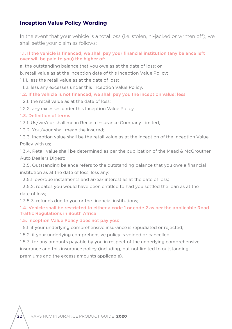# **Inception Value Policy Wording**

In the event that your vehicle is a total loss (i.e. stolen, hi-jacked or written off), we shall settle your claim as follows:

#### 1.1. If the vehicle is financed, we shall pay your financial institution (any balance left over will be paid to you) the higher of:

a. the outstanding balance that you owe as at the date of loss; or

b. retail value as at the inception date of this Inception Value Policy;

1.1.1. less the retail value as at the date of loss;

1.1.2. less any excesses under this Inception Value Policy.

#### 1.2. If the vehicle is not financed, we shall pay you the inception value: less

1.2.1. the retail value as at the date of loss;

1.2.2. any excesses under this Inception Value Policy.

#### 1.3. Definition of terms

1.3.1. Us/we/our shall mean Renasa Insurance Company Limited;

1.3.2. You/your shall mean the insured;

1.3.3. Inception value shall be the retail value as at the inception of the Inception Value Policy with us;

1.3.4. Retail value shall be determined as per the publication of the Mead & McGrouther Auto Dealers Digest;

1.3.5. Outstanding balance refers to the outstanding balance that you owe a financial institution as at the date of loss; less any:

1.3.5.1. overdue instalments and arrear interest as at the date of loss;

1.3.5.2. rebates you would have been entitled to had you settled the loan as at the date of loss;

1.3.5.3. refunds due to you or the financial institutions;

1.4. Vehicle shall be restricted to either a code 1 or code 2 as per the applicable Road Traffic Regulations in South Africa.

#### 1.5. Inception Value Policy does not pay you:

1.5.1. if your underlying comprehensive insurance is repudiated or rejected;

1.5.2. if your underlying comprehensive policy is voided or cancelled;

1.5.3. for any amounts payable by you in respect of the underlying comprehensive insurance and this insurance policy (including, but not limited to outstanding premiums and the excess amounts applicable).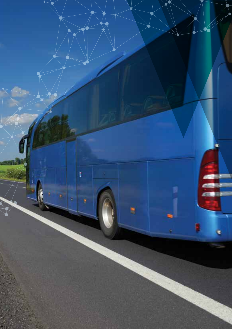